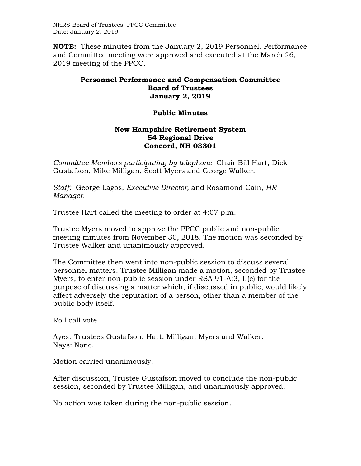NHRS Board of Trustees, PPCC Committee Date: January 2. 2019

**NOTE:** These minutes from the January 2, 2019 Personnel, Performance and Committee meeting were approved and executed at the March 26, 2019 meeting of the PPCC.

## **Personnel Performance and Compensation Committee Board of Trustees January 2, 2019**

## **Public Minutes**

## **New Hampshire Retirement System 54 Regional Drive Concord, NH 03301**

*Committee Members participating by telephone:* Chair Bill Hart, Dick Gustafson, Mike Milligan, Scott Myers and George Walker.

*Staff:* George Lagos, *Executive Director,* and Rosamond Cain*, HR Manager.* 

Trustee Hart called the meeting to order at 4:07 p.m.

Trustee Myers moved to approve the PPCC public and non-public meeting minutes from November 30, 2018. The motion was seconded by Trustee Walker and unanimously approved.

The Committee then went into non-public session to discuss several personnel matters. Trustee Milligan made a motion, seconded by Trustee Myers, to enter non-public session under RSA 91-A:3, II(c) for the purpose of discussing a matter which, if discussed in public, would likely affect adversely the reputation of a person, other than a member of the public body itself.

Roll call vote.

Ayes: Trustees Gustafson, Hart, Milligan, Myers and Walker. Nays: None.

Motion carried unanimously.

After discussion, Trustee Gustafson moved to conclude the non-public session, seconded by Trustee Milligan, and unanimously approved.

No action was taken during the non-public session.